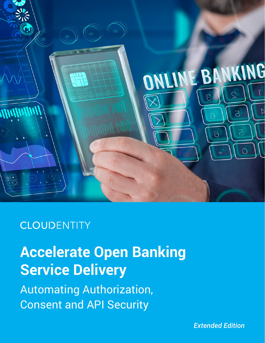

## **CLOUDENTITY**

# **Accelerate Open Banking Service Delivery**

Automating Authorization, Consent and API Security

*Extended Edition*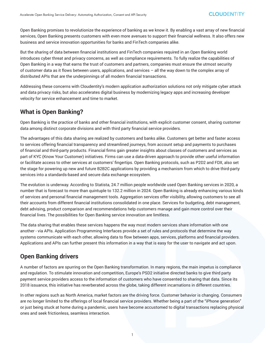Open Banking promises to revolutionize the experience of banking as we know it. By enabling a vast array of new financial services, Open Banking presents customers with even more avenues to support their financial wellness. It also offers new business and service innovation opportunities for banks and FinTech companies alike.

But the sharing of data between financial institutions and FinTech companies required in an Open Banking world introduces cyber threat and privacy concerns, as well as compliance requirements. To fully realize the capabilities of Open Banking in a way that earns the trust of customers and partners, companies must ensure the utmost security of customer data as it flows between users, applications, and services – all the way down to the complex array of distributed APIs that are the underpinnings of all modern financial transactions.

Addressing these concerns with Cloudentity's modern application authorization solutions not only mitigate cyber attack and data privacy risks, but also accelerates digital business by modernizing legacy apps and increasing developer velocity for service enhancement and time to market.

## **What is Open Banking?**

Open Banking is the practice of banks and other financial institutions, with explicit customer consent, sharing customer data among distinct corporate divisions and with third party financial service providers.

The advantages of this data sharing are realized by customers and banks alike. Customers get better and faster access to services offering financial transparency and streamlined journeys, from account setup and payments to purchases of financial and third-party products. Financial firms gain greater insights about classes of customers and services as part of KYC (Know Your Customer) initiatives. Firms can use a data-driven approach to provide other useful information or facilitate access to other services at customers' fingertips. Open Banking protocols, such as P2D2 and FDX, also set the stage for powering up new and future B2B2C applications by providing a mechanism from which to drive third-party services into a standards-based and secure data exchange ecosystem.

The evolution is underway. According to Statista, 24.7 million people worldwide used Open Banking services in 2020, a number that is forecast to more than quintuple to 132.2 million in 2024. Open Banking is already enhancing various kinds of services and personal financial management tools. Aggregation services offer visibility, allowing customers to see all their accounts from different financial institutions consolidated in one place. Services for budgeting, debt management, debt advising, product comparison and recommendations help customers manage and gain more control over their financial lives. The possibilities for Open Banking service innovation are limitless.

The data sharing that enables these services happens the way most modern services share information with one another - via APIs. Application Programming Interfaces provide a set of rules and protocols that determine the way systems communicate with each other, allowing data to flow between apps, services, platforms and financial providers. Applications and APIs can further present this information in a way that is easy for the user to navigate and act upon.

## **Open Banking drivers**

A number of factors are spurring on the Open Banking transformation. In many regions, the main impetus is compliance and regulation. To stimulate innovation and competition, Europe's PSD2 initiative directed banks to give third party payment service providers access to the information of customers who have consented to sharing that data. Since its 2018 issuance, this initiative has reverberated across the globe, taking different incarnations in different countries.

In other regions such as North America, market factors are the driving force. Customer behavior is changing. Consumers are no longer limited to the offerings of local financial service providers. Whether being a part of the "iPhone generation" or just being stuck at home during a pandemic, users have become accustomed to digital transactions replacing physical ones and seek frictionless, seamless interaction.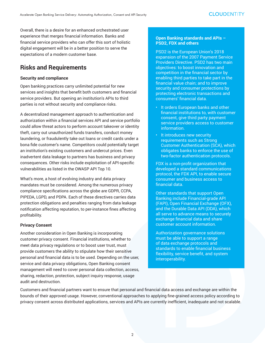Overall, there is a desire for an enhanced orchestrated user experience that merges financial information. Banks and financial service providers who can offer this sort of holistic digital engagement will be in a better position to serve the expectations of a modern customer base.

## **Risks and Requirements**

#### **Security and compliance**

Open banking practices carry unlimited potential for new services and insights that benefit both customers and financial service providers. But opening an institution's APIs to third parties is not without security and compliance risks.

A decentralized management approach to authentication and authorization within a financial services API and service portfolio could allow threat actors to perform account takeover or identity theft, carry out unauthorized funds transfers, conduct money laundering, or fraudulently take out loans or credit cards under a bona fide customer's name. Competitors could potentially target an institution's existing customers and undercut prices. Even inadvertent data leakage to partners has business and privacy consequences. Other risks include exploitation of API-specific vulnerabilities as listed in the OWASP API Top 10.

What's more, a host of evolving industry and data privacy mandates must be considered. Among the numerous privacy compliance specifications across the globe are GDPR, CCPA, PIPEDA, LGPD, and PDPA. Each of these directives carries data protection obligations and penalties ranging from data leakage notification affecting reputation, to per-instance fines affecting profitability.

#### **Privacy Consent**

Another consideration in Open Banking is incorporating customer privacy consent. Financial institutions, whether to meet data privacy regulations or to boost user trust, must provide customers the ability to stipulate how their sensitive personal and financial data is to be used. Depending on the user, service and data privacy obligations, Open Banking consent management will need to cover personal data collection, access, sharing, redaction, protection, subject inquiry response, usage audit and destruction.

#### **Open Banking standards and APIs – PSD2, FDX and others**

PSD2 is the European Union's 2018 expansion of the 2007 Payment Service Providers Directive. PSD2 has two main objectives: to boost innovation and competition in the financial sector by enabling third parties to take part in the financial value chain; and to improve security and consumer protections by protecting electronic transactions and consumers' financial data.

- It orders European banks and other financial institutions to, with customer consent, give third party payment service providers access to customer information.
- It introduces new security requirements such as Strong Customer Authentication (SCA), which obligates banks to enforce the use of two-factor authentication protocols.

FDX is a non-profit organization that developed a standard communications protocol, the FDX API, to enable secure consumer and business access to financial data.

Other standards that support Open Banking include Financial-grade API (FAPI), Open Financial Exchange (OFX), and the Durable Data API (DDA), which all serve to advance means to securely exchange financial data and share customer account information.

Authorization governance solutions must be able to support a range of data exchange protocols and standards to enable financial business flexibility, service benefit, and system interoperability.

Customers and financial partners want to ensure that personal and financial data access and exchange are within the bounds of their approved usage. However, conventional approaches to applying fine-grained access policy according to privacy consent across distributed applications, services and APIs are currently inefficient, inadequate and not scalable.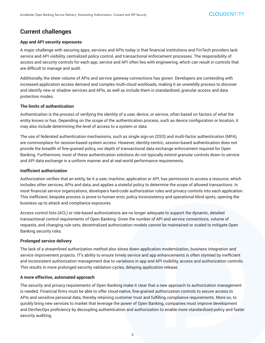## **Current challenges**

#### **App and API security exposures**

A major challenge with securing apps, services and APIs today is that financial institutions and FinTech providers lack service and API visibility, centralized policy control, and transactional enforcement processes. The responsibility of access and security controls for each app, service and API often lies with engineering, which can result in controls that are difficult to manage and audit.

Additionally, the sheer volume of APIs and service gateway connections has grown. Developers are contending with increased application access demand and complex multi-cloud workloads, making it an unwieldly process to discover and identify new or shadow services and APIs, as well as include them in standardized, granular access and data protection modes.

#### **The limits of authentication**

Authentication is the process of verifying the identity of a user, device, or service, often based on factors of what the entity knows or has. Depending on the scope of the authentication process, such as device configuration or location, it may also include determining the level of access to a system or data.

The use of federated authentication mechanisms, such as single sign-on (SSO) and multi-factor authentication (MFA), are commonplace for session-based system access. However, identity-centric, session-based authentication does not provide the breadth of fine-grained policy, nor depth of transactional data exchange enforcement required for Open Banking. Furthermore, most of these authentication solutions do not typically extend granular controls down to service and API data exchange in a uniform manner and at real-world performance requirements.

#### **Inefficient authorization**

Authorization verifies that an entity, be it a user, machine, application or API, has permission to access a resource, which includes other services, APIs and data, and applies a stateful policy to determine the scope of allowed transactions. In most financial service organizations, developers hard-code authorization rules and privacy controls into each application. This inefficient, bespoke process is prone to human error, policy inconsistency and operational blind spots, opening the business up to attack and compliance exposures.

Access control lists (ACL) or role-based authorizations are no longer adequate to support the dynamic, detailed transactional control requirements of Open Banking. Given the number of API and service connections, volume of requests, and changing rule sets, decentralized authorization models cannot be maintained or scaled to mitigate Open Banking security risks.

#### **Prolonged service delivery**

The lack of a streamlined authorization method also slows down application modernization, business integration and service improvement projects. IT's ability to ensure timely service and app enhancements is often stymied by inefficient and inconsistent authorization management due to variations in app and API visibility, access and authorization controls. This results in more prolonged security validation cycles, delaying application release.

#### **A more effective, automated approach**

The security and privacy requirements of Open Banking make it clear that a new approach to authorization management is needed. Financial firms must be able to offer cloud-native, fine-grained authorization controls to secure access to APIs and sensitive personal data, thereby retaining customer trust and fulfilling compliance requirements. More so, to quickly bring new services to market that leverage the power of Open Banking, companies must improve development and DevSecOps proficiency by decoupling authentication and authorization to enable more standardized policy and faster security auditing.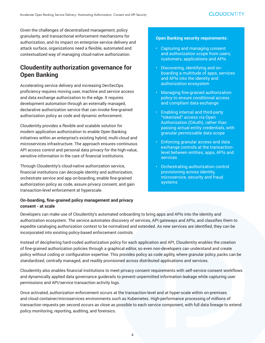Given the challenges of decentralized management, policy granularity, and transactional enforcement mechanisms for authorization, and its impact on enterprise service delivery and attack surface, organizations need a flexible, automated and contextualized way of managing cloud-native authorization.

## **Cloudentity authorization governance for Open Banking**

Accelerating service delivery and increasing DevSecOps proficiency requires moving user, machine and service access and data exchange authorization to the edge. It requires development automation through an externally managed, declarative authorization service that can invoke fine-grained authorization policy as code and dynamic enforcement.

Cloudentity provides a flexible and scalable solution for modern application authorization to enable Open Banking initiatives within an enterprise's existing hybrid, multi-cloud and microservices infrastructure. The approach ensures continuous API access control and personal data privacy for the high-value, sensitive information in the care of financial institutions.

Through Cloudentity's cloud-native authorization service, financial institutions can decouple identity and authorization, orchestrate service and app on-boarding, enable fine-grained authorization policy as code, assure privacy consent, and gain transaction-level enforcement at hyperscale.

#### **On-boarding, fine-grained policy management and privacy consent - at scale**

#### **Open Banking security requirements:**

- Capturing and managing consent and authorization scope from users, customers, applications and APIs
- Discovering, identifying and onboarding a multitude of apps, services and APIs into the identity and authorization ecosystem
- Managing fine-grained authorization policy to ensure conditional access and compliant data exchange
- Enabling internal and third-party "tokenized" access via Open Authorization (OAuth), rather than passing actual entity credentials, with granular permissable data scope
- Enforcing granular access and data exchange controls at the transactionlevel between entities, apps, APIs and services
- Orchestrating authorization control provisioning across identity, microservice, security and fraud systems

Developers can make use of Cloudentity's automated onboarding to bring apps and APIs into the identity and authorization ecosystem. The service automates discovery of services, API gateways and APIs, and classifies them to expedite cataloging authorization context to be normalized and extended. As new services are identified, they can be incorporated into existing policy-based enforcement controls.

Instead of deciphering hard-coded authorization policy for each application and API, Cloudentity enables the creation of fine-grained authorization policies through a graphical editor, so even non-developers can understand and create policy without coding or configuration expertise. This provides policy as code agility, where granular policy packs can be standardized, centrally managed, and readily provisioned across distributed applications and services.

Cloudentity also enables financial institutions to meet privacy consent requirements with self-service consent workflows and dynamically applied data governance guiderails to prevent unpermitted information leakage while capturing user permissions and API/service transaction activity logs.

Once activated, authorization enforcement occurs at the transaction-level and at hyper-scale within on-premises and cloud container/microservices environments such as Kubernetes. High-performance processing of millions of transaction requests per second occurs as close as possible to each service component, with full data lineage to extend policy monitoring, reporting, auditing, and forensics.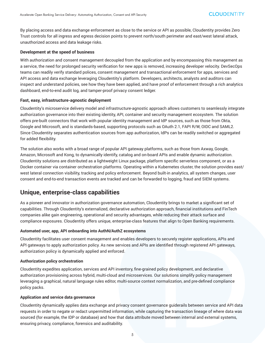By placing access and data exchange enforcement as close to the service or API as possible, Cloudentity provides Zero Trust controls for all ingress and egress decision points to prevent north/south perimeter and east/west lateral attack, unauthorized access and data leakage risks.

#### **Development at the speed of business**

With authorization and consent management decoupled from the application and by encompassing this management as a service, the need for prolonged security verification for new apps is removed, increasing developer velocity. DevSecOps teams can readily verify standard polices, consent management and transactional enforcement for apps, services and API access and data exchange leveraging Cloudentity's platform. Developers, architects, analysts and auditors can inspect and understand policies, see how they have been applied, and have proof of enforcement through a rich analytics dashboard, end-to-end audit log, and tamper-proof privacy consent ledger.

#### **Fast, easy, infrastructure-agnostic deployment**

Cloudentity's microservice delivery model and infrastructure-agnostic approach allows customers to seamlessly integrate authorization governance into their existing identity, API, container and security management ecosystem. The solution offers pre-built connectors that work with popular identity management and IdP sources, such as those from Okta, Google and Microsoft, and is standards-based, supporting protocols such as OAuth 2.1, FAPI R/W, OIDC and SAML2. Since Cloudentity separates authentication sources from app authorization, IdPs can be readily switched or aggregated for added flexibility.

The solution also works with a broad range of popular API gateway platforms, such as those from Axway, Google, Amazon, Microsoft and Kong, to dynamically identify, catalog and on-board APIs and enable dynamic authorization. Cloudentity solutions are distributed as a lightweight Linux package, platform specific serverless component, or as a Docker container via container orchestration platforms. Operating within a Kubernetes cluster, the solution provides east/ west lateral connection visibility, tracking and policy enforcement. Beyond built-in analytics, all system changes, user consent and end-to-end transaction events are tracked and can be forwarded to logging, fraud and SIEM systems.

## **Unique, enterprise-class capabilities**

As a pioneer and innovator in authorization governance automation, Cloudentity brings to market a significant set of capabilities. Through Cloudentity's externalized, declarative authorization approach, financial institutions and FinTech companies alike gain engineering, operational and security advantages, while reducing their attack surface and compliance exposures. Cloudentity offers unique, enterprise-class features that align to Open Banking requirements.

#### **Automated user, app, API onboarding into AuthN/AuthZ ecosystems**

Cloudentity facilitates user consent management and enables developers to securely register applications, APIs and API gateways to apply authorization policy. As new services and APIs are identified through registered API gateways, authorization policy is dynamically applied and enforced.

#### **Authorization policy orchestration**

Cloudentity expedites application, services and API inventory, fine-grained policy development, and declarative authorization provisioning across hybrid, multi-cloud and microservices. Our solutions simplify policy management leveraging a graphical, natural language rules editor, multi-source context normalization, and pre-defined compliance policy packs.

#### **Application and service data governance**

Cloudentity dynamically applies data exchange and privacy consent governance guiderails between service and API data requests in order to negate or redact unpermitted information, while capturing the transaction lineage of where data was sourced (for example, the IDP or database) and how that data attribute moved between internal and external systems, ensuring privacy, compliance, forensics and auditability.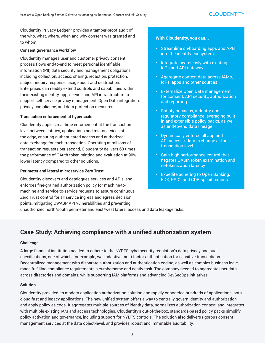Cloudentity Privacy Ledger™ provides a tamper-proof audit of the who, what, where, when and why consent was granted and to whom.

#### **Consent governance workflow**

Cloudentity manages user and customer privacy consent process flows end-to-end to meet personal identifiable information (PII) data security and management obligations, including collection, access, sharing, redaction, protection, subject inquiry response, usage audit and destruction. Enterprises can readily extend controls and capabilities within their existing identity, app, service and API infrastructure to support self-service privacy management, Open Data integration, privacy compliance, and data protection measures.

#### **Transaction enforcement at hyperscale**

Cloudentity applies real-time enforcement at the transaction level between entities, applications and microservices at the edge, ensuring authenticated access and authorized data exchange for each transaction. Operating at millions of transaction requests per second, Cloudentity delivers 60 times the performance of OAuth token minting and evaluation at 90% lower latency compared to other solutions.

#### **Perimeter and lateral microservice Zero Trust**

Cloudentity discovers and catalogues services and APIs, and enforces fine-grained authorization policy for machine-tomachine and service-to-service requests to assure continuous Zero Trust control for all service ingress and egress decision points, mitigating OWASP API vulnerabilities and preventing

#### **With Cloudentity, you can...**

- Streamline on-boarding apps and APIs into the identity ecosystem
- Integrate seamlessly with existing IdPs and API gateways
- Aggregate context data across IAMs, IdPs, apps and other sources
- Externalize Open Data management for consent, API security, authorization and reporting
- Satisfy business, industry and regulatory compliance leveraging builtin and extensible policy packs, as well as end-to-end data lineage
- Dynamically enforce all app and API access / data exchange at the transaction level
- Gain high-performance control that negates OAuth token examination and re-tokenization latency
- Expedite adhering to Open Banking, FDX, PSD2 and CDR specifications

unauthorized north/south perimeter and east/west lateral access and data leakage risks.

## **Case Study: Achieving compliance with a unified authorization system**

#### **Challenge**

A large financial institution needed to adhere to the NYDFS cybersecurity regulation's data privacy and audit specifications, one of which, for example, was adaptive multi-factor authentication for sensitive transactions. Decentralized management with disparate authorization and authentication coding, as well as complex business logic, made fulfilling compliance requirements a cumbersome and costly task. The company needed to aggregate user data across directories and domains, while supporting IAM platforms and advancing DevSecOps initiatives.

#### **Solution**

Cloudentity provided its modern application authorization solution and rapidly onboarded hundreds of applications, both cloud-first and legacy applications. The new unified system offers a way to centrally govern identity and authorization, and apply policy as code. It aggregates multiple sources of identity data, normalizes authorization context, and integrates with multiple existing IAM and access technologies. Cloudentity's out-of-the-box, standards-based policy packs simplify policy activation and governance, including support for NYDFS controls. The solution also delivers rigorous consent management services at the data object-level, and provides robust and immutable auditability.